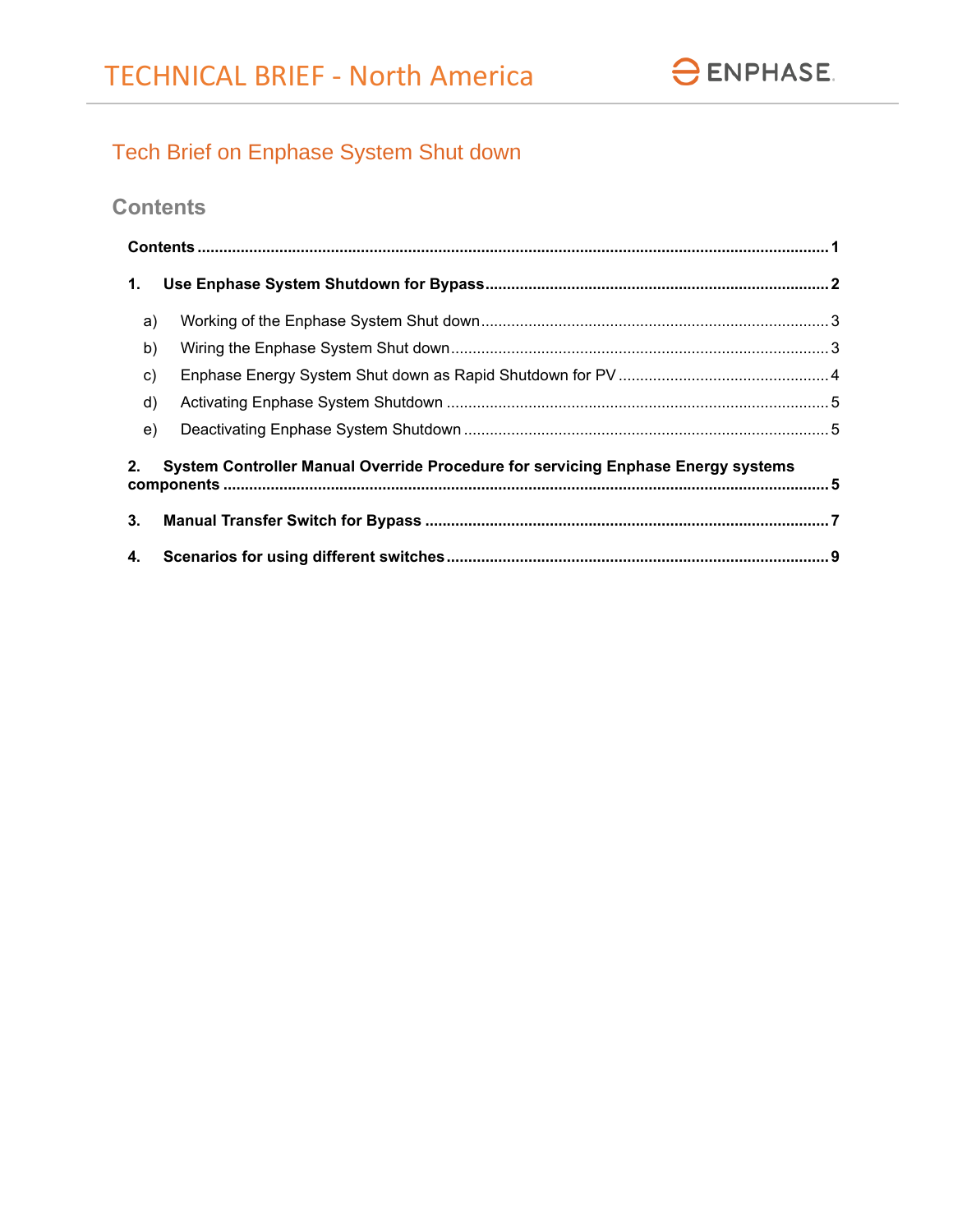# Tech Brief on Enphase System Shut down

# <span id="page-0-0"></span>**Contents**

| 1.                                                                                     |  |  |  |  |  |  |  |
|----------------------------------------------------------------------------------------|--|--|--|--|--|--|--|
| a)                                                                                     |  |  |  |  |  |  |  |
| b)                                                                                     |  |  |  |  |  |  |  |
| $\mathbf{c}$                                                                           |  |  |  |  |  |  |  |
| d)                                                                                     |  |  |  |  |  |  |  |
| e)                                                                                     |  |  |  |  |  |  |  |
| System Controller Manual Override Procedure for servicing Enphase Energy systems<br>2. |  |  |  |  |  |  |  |
| 3.                                                                                     |  |  |  |  |  |  |  |
| 4.                                                                                     |  |  |  |  |  |  |  |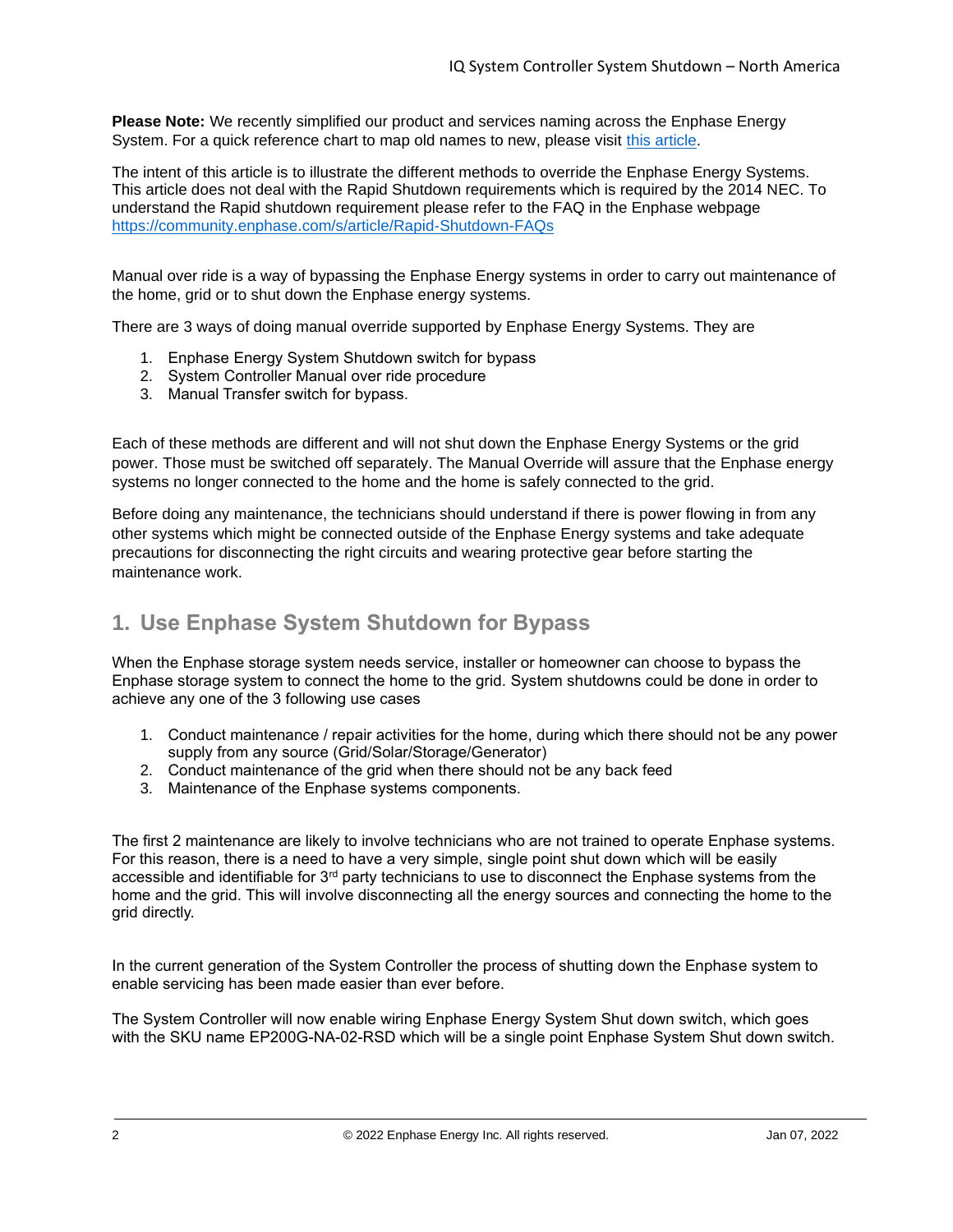**Please Note:** We recently simplified our product and services naming across the Enphase Energy System. For a quick reference chart to map old names to new, please visit [this article.](https://support.enphase.com/s/article/What-are-the-new-names-for-Enphase-products-And-why)

The intent of this article is to illustrate the different methods to override the Enphase Energy Systems. This article does not deal with the Rapid Shutdown requirements which is required by the 2014 NEC. To understand the Rapid shutdown requirement please refer to the FAQ in the Enphase webpage <https://community.enphase.com/s/article/Rapid-Shutdown-FAQs>

Manual over ride is a way of bypassing the Enphase Energy systems in order to carry out maintenance of the home, grid or to shut down the Enphase energy systems.

There are 3 ways of doing manual override supported by Enphase Energy Systems. They are

- 1. Enphase Energy System Shutdown switch for bypass
- 2. System Controller Manual over ride procedure
- 3. Manual Transfer switch for bypass.

Each of these methods are different and will not shut down the Enphase Energy Systems or the grid power. Those must be switched off separately. The Manual Override will assure that the Enphase energy systems no longer connected to the home and the home is safely connected to the grid.

Before doing any maintenance, the technicians should understand if there is power flowing in from any other systems which might be connected outside of the Enphase Energy systems and take adequate precautions for disconnecting the right circuits and wearing protective gear before starting the maintenance work.

### <span id="page-1-0"></span>**1. Use Enphase System Shutdown for Bypass**

When the Enphase storage system needs service, installer or homeowner can choose to bypass the Enphase storage system to connect the home to the grid. System shutdowns could be done in order to achieve any one of the 3 following use cases

- 1. Conduct maintenance / repair activities for the home, during which there should not be any power supply from any source (Grid/Solar/Storage/Generator)
- 2. Conduct maintenance of the grid when there should not be any back feed
- 3. Maintenance of the Enphase systems components.

The first 2 maintenance are likely to involve technicians who are not trained to operate Enphase systems. For this reason, there is a need to have a very simple, single point shut down which will be easily accessible and identifiable for  $3<sup>rd</sup>$  party technicians to use to disconnect the Enphase systems from the home and the grid. This will involve disconnecting all the energy sources and connecting the home to the grid directly.

In the current generation of the System Controller the process of shutting down the Enphase system to enable servicing has been made easier than ever before.

The System Controller will now enable wiring Enphase Energy System Shut down switch, which goes with the SKU name EP200G-NA-02-RSD which will be a single point Enphase System Shut down switch.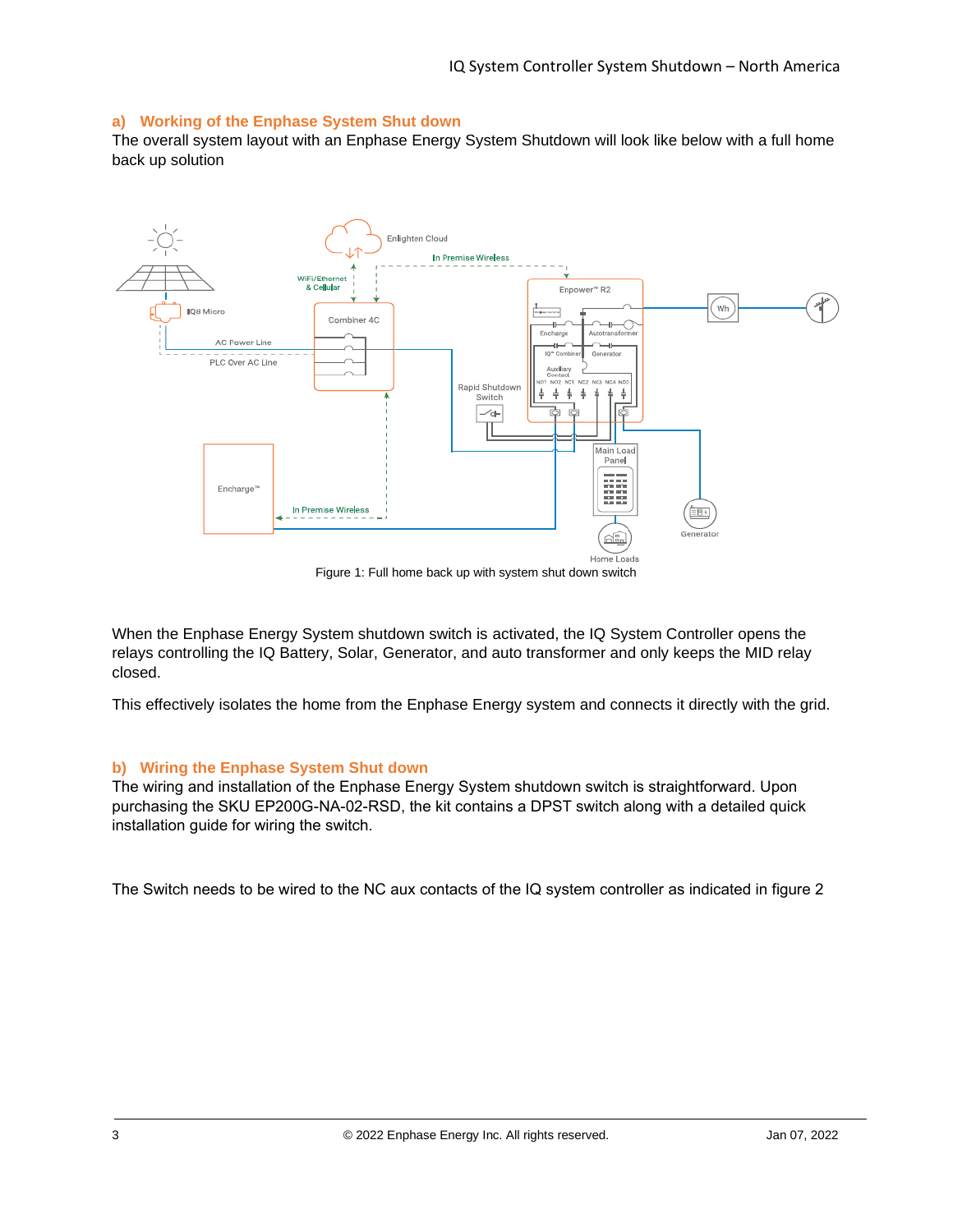### <span id="page-2-0"></span>**a) Working of the Enphase System Shut down**

The overall system layout with an Enphase Energy System Shutdown will look like below with a full home back up solution



Figure 1: Full home back up with system shut down switch

When the Enphase Energy System shutdown switch is activated, the IQ System Controller opens the relays controlling the IQ Battery, Solar, Generator, and auto transformer and only keeps the MID relay closed.

This effectively isolates the home from the Enphase Energy system and connects it directly with the grid.

#### <span id="page-2-1"></span>**b) Wiring the Enphase System Shut down**

The wiring and installation of the Enphase Energy System shutdown switch is straightforward. Upon purchasing the SKU EP200G-NA-02-RSD, the kit contains a DPST switch along with a detailed quick installation guide for wiring the switch.

The Switch needs to be wired to the NC aux contacts of the IQ system controller as indicated in figure 2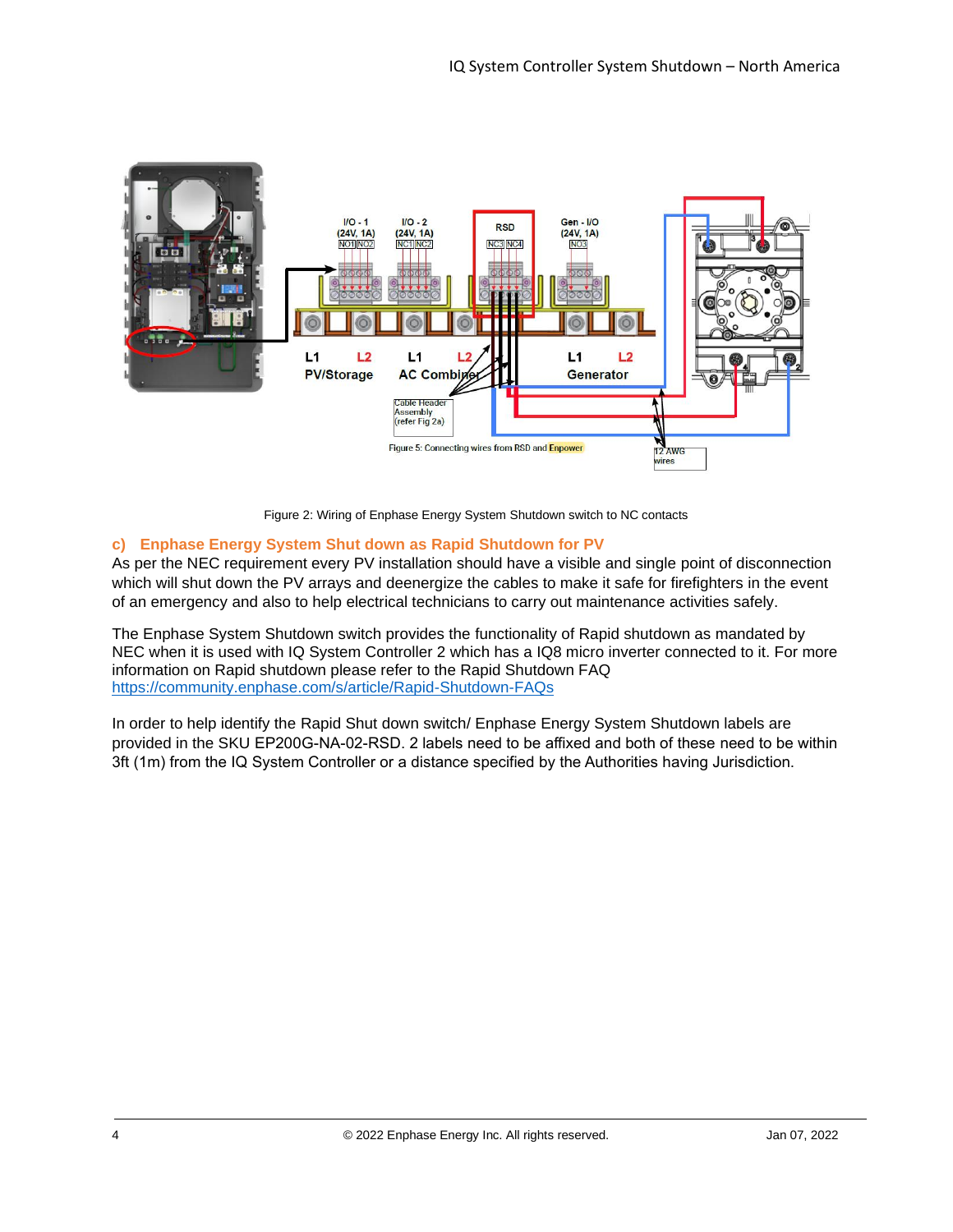

Figure 2: Wiring of Enphase Energy System Shutdown switch to NC contacts

### <span id="page-3-0"></span>**c) Enphase Energy System Shut down as Rapid Shutdown for PV**

As per the NEC requirement every PV installation should have a visible and single point of disconnection which will shut down the PV arrays and deenergize the cables to make it safe for firefighters in the event of an emergency and also to help electrical technicians to carry out maintenance activities safely.

The Enphase System Shutdown switch provides the functionality of Rapid shutdown as mandated by NEC when it is used with IQ System Controller 2 which has a IQ8 micro inverter connected to it. For more information on Rapid shutdown please refer to the Rapid Shutdown FAQ <https://community.enphase.com/s/article/Rapid-Shutdown-FAQs>

In order to help identify the Rapid Shut down switch/ Enphase Energy System Shutdown labels are provided in the SKU EP200G-NA-02-RSD. 2 labels need to be affixed and both of these need to be within 3ft (1m) from the IQ System Controller or a distance specified by the Authorities having Jurisdiction.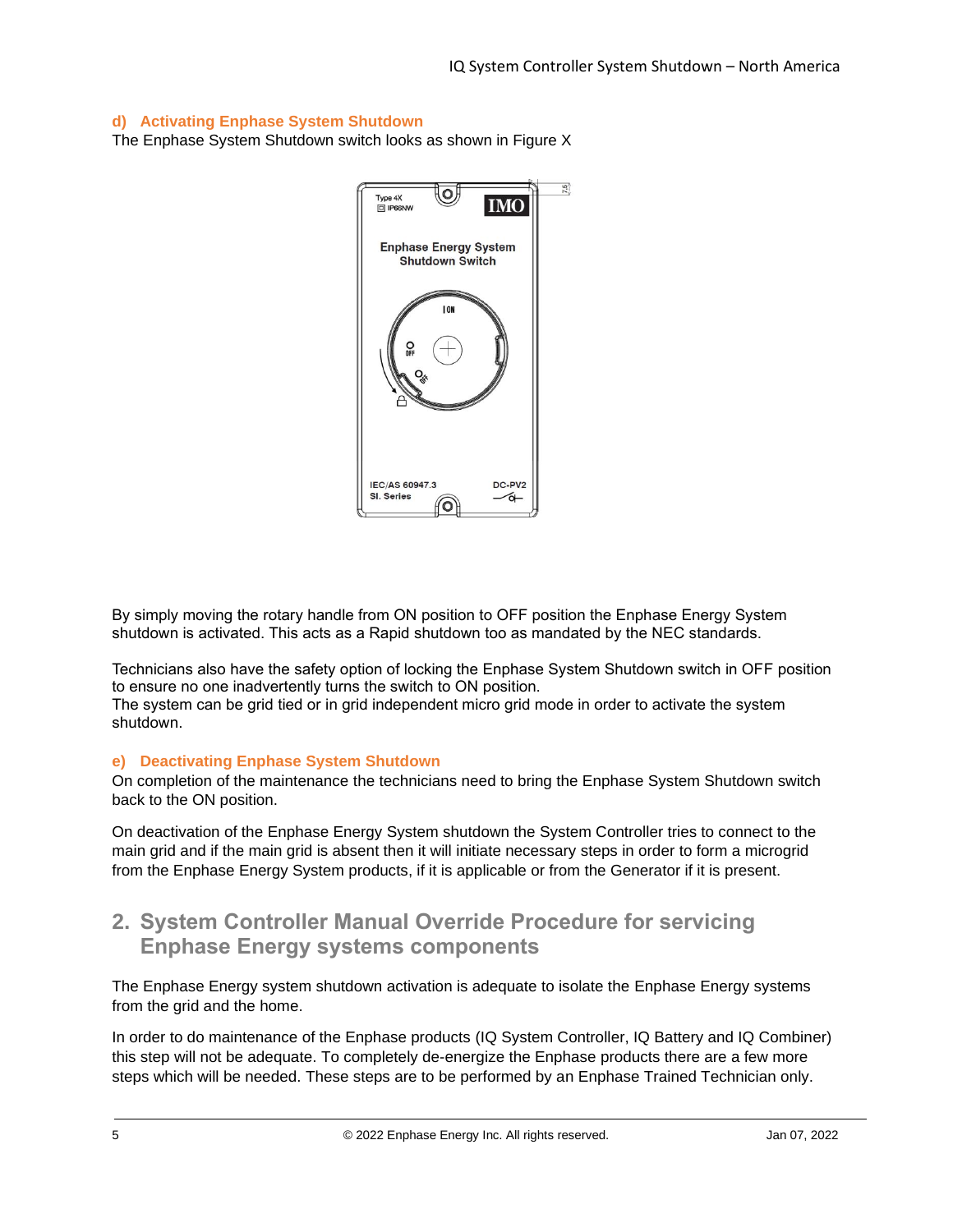### <span id="page-4-0"></span>**d) Activating Enphase System Shutdown**

The Enphase System Shutdown switch looks as shown in Figure X



By simply moving the rotary handle from ON position to OFF position the Enphase Energy System shutdown is activated. This acts as a Rapid shutdown too as mandated by the NEC standards.

Technicians also have the safety option of locking the Enphase System Shutdown switch in OFF position to ensure no one inadvertently turns the switch to ON position.

The system can be grid tied or in grid independent micro grid mode in order to activate the system shutdown.

#### <span id="page-4-1"></span>**e) Deactivating Enphase System Shutdown**

On completion of the maintenance the technicians need to bring the Enphase System Shutdown switch back to the ON position.

On deactivation of the Enphase Energy System shutdown the System Controller tries to connect to the main grid and if the main grid is absent then it will initiate necessary steps in order to form a microgrid from the Enphase Energy System products, if it is applicable or from the Generator if it is present.

### <span id="page-4-2"></span>**2. System Controller Manual Override Procedure for servicing Enphase Energy systems components**

The Enphase Energy system shutdown activation is adequate to isolate the Enphase Energy systems from the grid and the home.

In order to do maintenance of the Enphase products (IQ System Controller, IQ Battery and IQ Combiner) this step will not be adequate. To completely de-energize the Enphase products there are a few more steps which will be needed. These steps are to be performed by an Enphase Trained Technician only.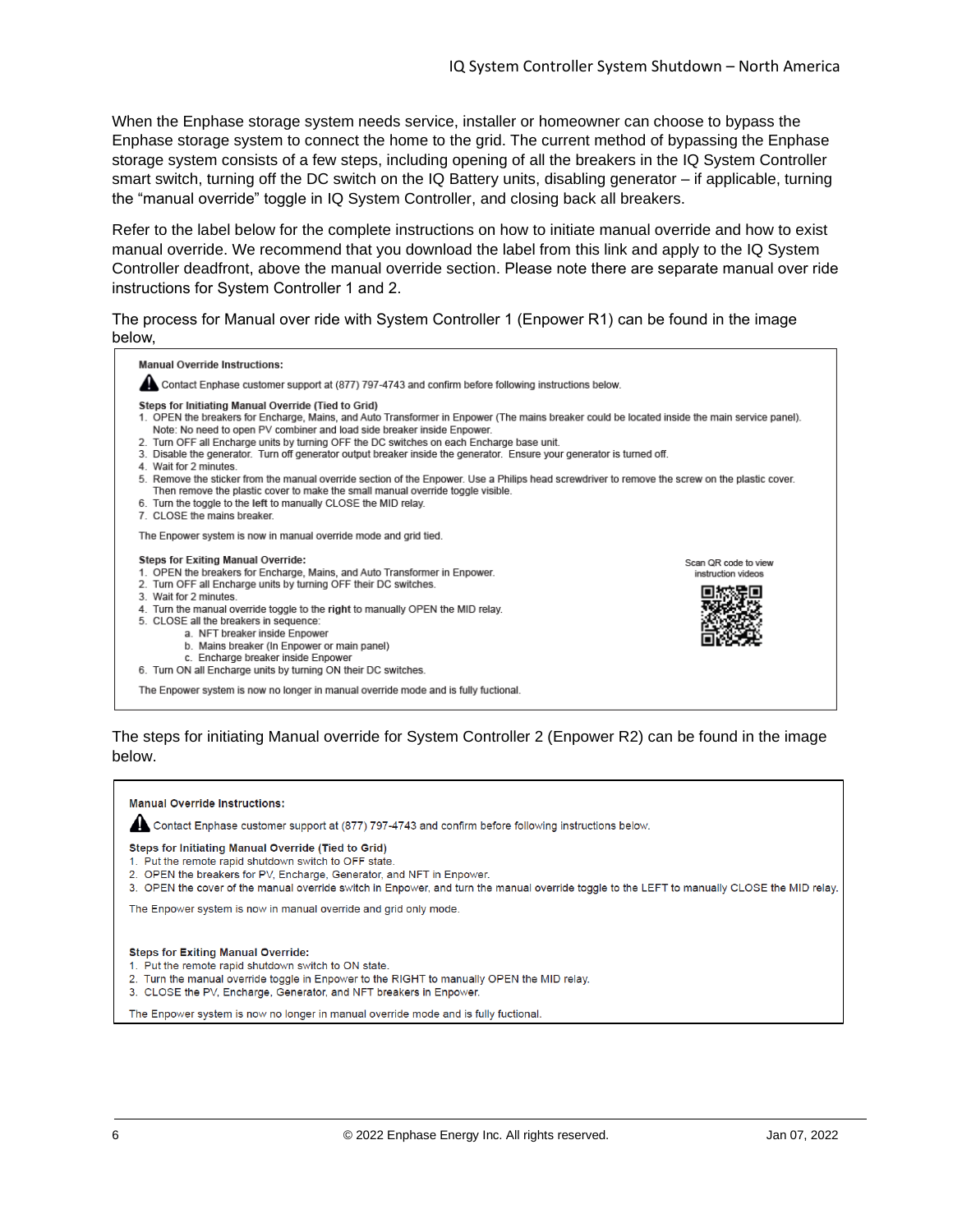When the Enphase storage system needs service, installer or homeowner can choose to bypass the Enphase storage system to connect the home to the grid. The current method of bypassing the Enphase storage system consists of a few steps, including opening of all the breakers in the IQ System Controller smart switch, turning off the DC switch on the IQ Battery units, disabling generator – if applicable, turning the "manual override" toggle in IQ System Controller, and closing back all breakers.

Refer to the label below for the complete instructions on how to initiate manual override and how to exist manual override. We recommend that you download the label from [this link](https://enphase.com/en-us/support/enpower-mor-label) and apply to the IQ System Controller deadfront, above the manual override section. Please note there are separate manual over ride instructions for System Controller 1 and 2.

The process for Manual over ride with System Controller 1 (Enpower R1) can be found in the image below,

| <b>Manual Override Instructions:</b><br>Contact Enphase customer support at (877) 797-4743 and confirm before following instructions below.                                                                                                                                                                                                                                                                                                                                                                                                                                                                                                                                                                                                                                                                                                                             |                                            |  |  |  |  |
|-------------------------------------------------------------------------------------------------------------------------------------------------------------------------------------------------------------------------------------------------------------------------------------------------------------------------------------------------------------------------------------------------------------------------------------------------------------------------------------------------------------------------------------------------------------------------------------------------------------------------------------------------------------------------------------------------------------------------------------------------------------------------------------------------------------------------------------------------------------------------|--------------------------------------------|--|--|--|--|
| Steps for Initiating Manual Override (Tied to Grid)<br>1. OPEN the breakers for Encharge, Mains, and Auto Transformer in Enpower (The mains breaker could be located inside the main service panel).<br>Note: No need to open PV combiner and load side breaker inside Enpower.<br>2. Turn OFF all Encharge units by turning OFF the DC switches on each Encharge base unit.<br>3. Disable the generator. Turn off generator output breaker inside the generator. Ensure your generator is turned off.<br>4. Wait for 2 minutes.<br>5. Remove the sticker from the manual override section of the Enpower. Use a Philips head screwdriver to remove the screw on the plastic cover.<br>Then remove the plastic cover to make the small manual override toggle visible.<br>6. Turn the toggle to the left to manually CLOSE the MID relay.<br>7. CLOSE the mains breaker |                                            |  |  |  |  |
| The Enpower system is now in manual override mode and grid tied.                                                                                                                                                                                                                                                                                                                                                                                                                                                                                                                                                                                                                                                                                                                                                                                                        |                                            |  |  |  |  |
| <b>Steps for Exiting Manual Override:</b><br>1. OPEN the breakers for Encharge, Mains, and Auto Transformer in Enpower.<br>2. Turn OFF all Encharge units by turning OFF their DC switches.<br>3. Wait for 2 minutes<br>4. Turn the manual override toggle to the right to manually OPEN the MID relay.<br>5. CLOSE all the breakers in sequence:<br>a. NFT breaker inside Enpower<br>b. Mains breaker (In Enpower or main panel)<br>c. Encharge breaker inside Enpower<br>6. Turn ON all Encharge units by turning ON their DC switches.                                                                                                                                                                                                                                                                                                                               | Scan QR code to view<br>instruction videos |  |  |  |  |
| The Enpower system is now no longer in manual override mode and is fully fuctional.                                                                                                                                                                                                                                                                                                                                                                                                                                                                                                                                                                                                                                                                                                                                                                                     |                                            |  |  |  |  |

### The steps for initiating Manual override for System Controller 2 (Enpower R2) can be found in the image below.

**Manual Override Instructions:** Contact Enphase customer support at (877) 797-4743 and confirm before following instructions below. Steps for Initiating Manual Override (Tied to Grid) 1. Put the remote rapid shutdown switch to OFF state. 2. OPEN the breakers for PV, Encharge, Generator, and NFT in Enpower. 3. OPEN the cover of the manual override switch in Enpower, and turn the manual override toggle to the LEFT to manually CLOSE the MID relay. The Enpower system is now in manual override and grid only mode. **Steps for Exiting Manual Override:** 1. Put the remote rapid shutdown switch to ON state. 2. Turn the manual override toggle in Enpower to the RIGHT to manually OPEN the MID relay. 3. CLOSE the PV, Encharge, Generator, and NFT breakers in Enpower. The Enpower system is now no longer in manual override mode and is fully fuctional.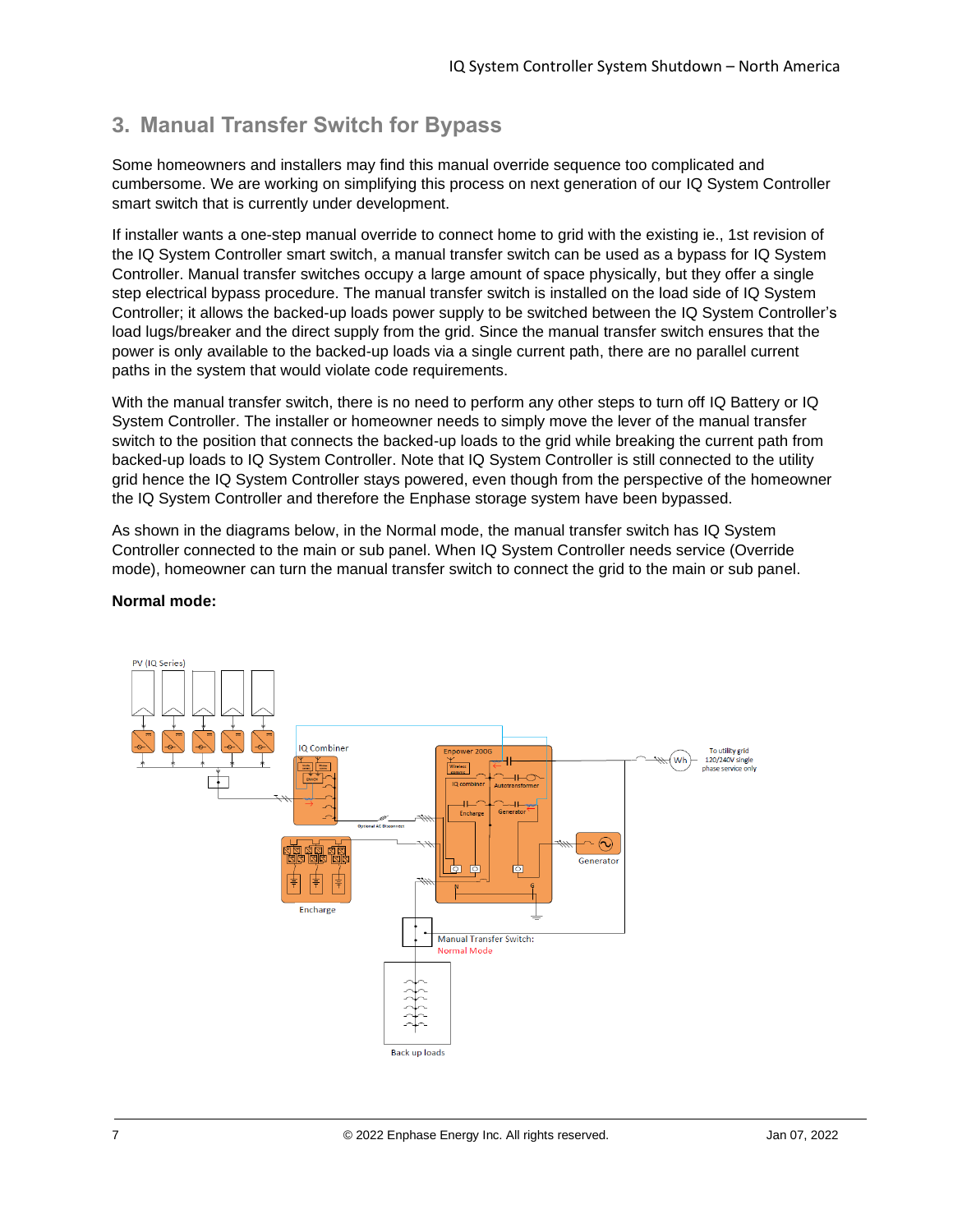## <span id="page-6-0"></span>**3. Manual Transfer Switch for Bypass**

Some homeowners and installers may find this manual override sequence too complicated and cumbersome. We are working on simplifying this process on next generation of our IQ System Controller smart switch that is currently under development.

If installer wants a one-step manual override to connect home to grid with the existing ie., 1st revision of the IQ System Controller smart switch, a manual transfer switch can be used as a bypass for IQ System Controller. Manual transfer switches occupy a large amount of space physically, but they offer a single step electrical bypass procedure. The manual transfer switch is installed on the load side of IQ System Controller; it allows the backed-up loads power supply to be switched between the IQ System Controller's load lugs/breaker and the direct supply from the grid. Since the manual transfer switch ensures that the power is only available to the backed-up loads via a single current path, there are no parallel current paths in the system that would violate code requirements.

With the manual transfer switch, there is no need to perform any other steps to turn off IQ Battery or IQ System Controller. The installer or homeowner needs to simply move the lever of the manual transfer switch to the position that connects the backed-up loads to the grid while breaking the current path from backed-up loads to IQ System Controller. Note that IQ System Controller is still connected to the utility grid hence the IQ System Controller stays powered, even though from the perspective of the homeowner the IQ System Controller and therefore the Enphase storage system have been bypassed.

As shown in the diagrams below, in the Normal mode, the manual transfer switch has IQ System Controller connected to the main or sub panel. When IQ System Controller needs service (Override mode), homeowner can turn the manual transfer switch to connect the grid to the main or sub panel.



### **Normal mode:**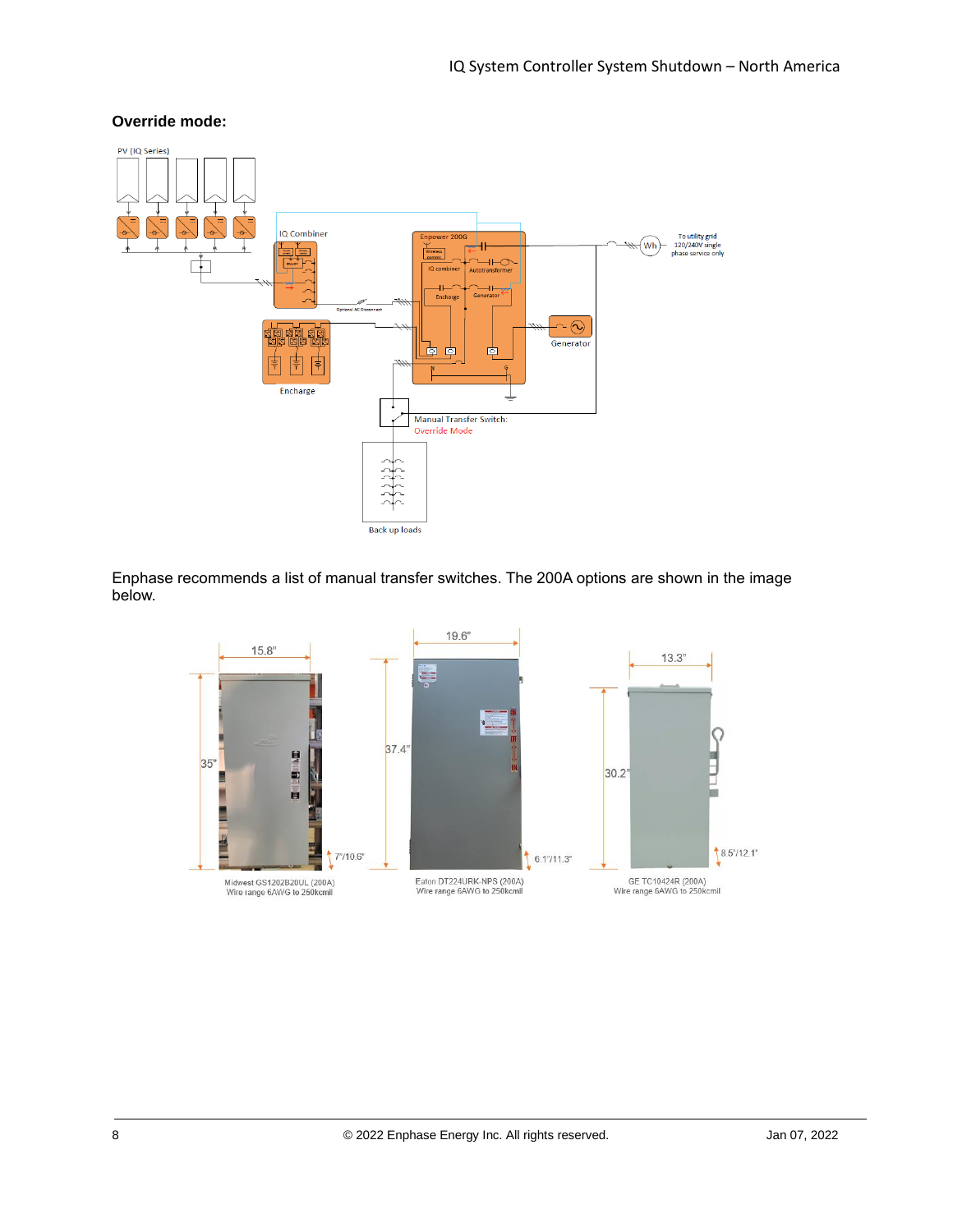### **Override mode:**



Enphase recommends a list of manual transfer switches. The 200A options are shown in the image below.